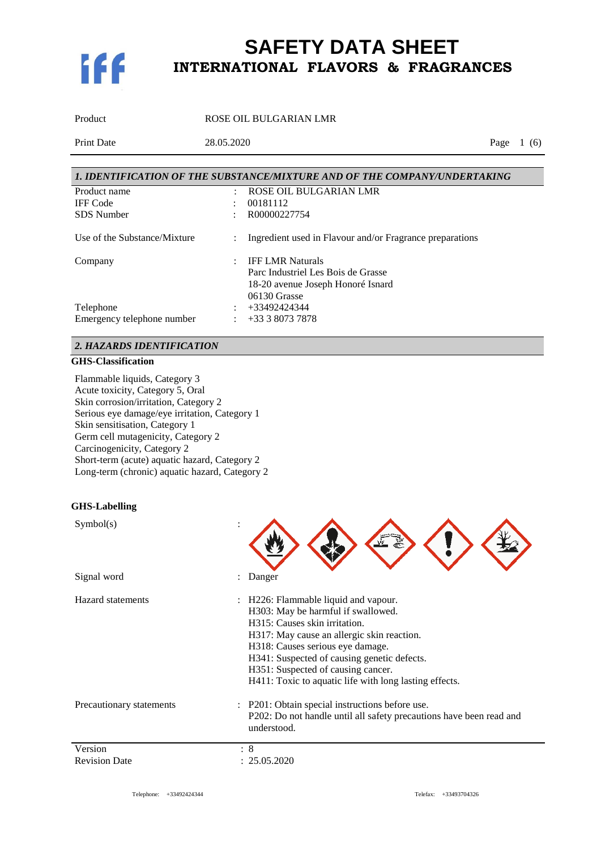

Product ROSE OIL BULGARIAN LMR

Print Date 28.05.2020 Page 1 (6)

|                              |   | 1. IDENTIFICATION OF THE SUBSTANCE/MIXTURE AND OF THE COMPANY/UNDERTAKING |
|------------------------------|---|---------------------------------------------------------------------------|
| Product name                 | ٠ | ROSE OIL BULGARIAN LMR                                                    |
| <b>IFF</b> Code              |   | 00181112                                                                  |
| <b>SDS</b> Number            |   | R00000227754                                                              |
| Use of the Substance/Mixture |   | Ingredient used in Flavour and/or Fragrance preparations                  |
| Company                      |   | <b>IFF LMR Naturals</b>                                                   |
|                              |   | Parc Industriel Les Bois de Grasse                                        |
|                              |   | 18-20 avenue Joseph Honoré Isnard                                         |
|                              |   | 06130 Grasse                                                              |
| Telephone                    |   | +33492424344                                                              |
| Emergency telephone number   |   | +33 3 8073 7878                                                           |

#### *2. HAZARDS IDENTIFICATION*

#### **GHS-Classification**

Flammable liquids, Category 3 Acute toxicity, Category 5, Oral Skin corrosion/irritation, Category 2 Serious eye damage/eye irritation, Category 1 Skin sensitisation, Category 1 Germ cell mutagenicity, Category 2 Carcinogenicity, Category 2 Short-term (acute) aquatic hazard, Category 2 Long-term (chronic) aquatic hazard, Category 2

### **GHS-Labelling**

| Danger                                                                                                                                                                                                                                                                                                                                     |
|--------------------------------------------------------------------------------------------------------------------------------------------------------------------------------------------------------------------------------------------------------------------------------------------------------------------------------------------|
| H226: Flammable liquid and vapour.<br>H303: May be harmful if swallowed.<br>H315: Causes skin irritation.<br>H317: May cause an allergic skin reaction.<br>H318: Causes serious eye damage.<br>H341: Suspected of causing genetic defects.<br>H351: Suspected of causing cancer.<br>H411: Toxic to aquatic life with long lasting effects. |
| : P201: Obtain special instructions before use.<br>P202: Do not handle until all safety precautions have been read and<br>understood.                                                                                                                                                                                                      |
| $\colon 8$<br>25.05.2020                                                                                                                                                                                                                                                                                                                   |
|                                                                                                                                                                                                                                                                                                                                            |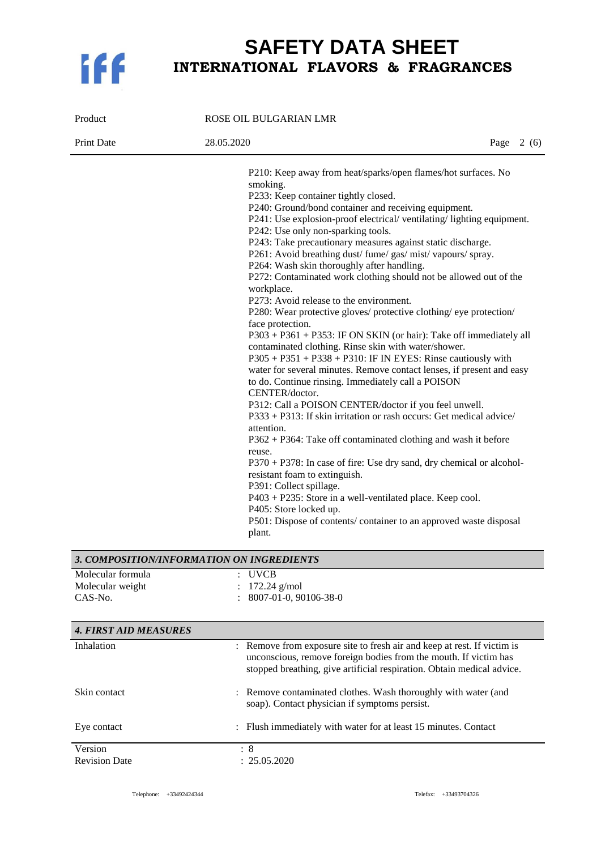

| Product                                                        | ROSE OIL BULGARIAN LMR                                                                                                                                                                                                                                                                                                                                                                                                                                                                                                                                                                                                                                                                                                                                                                                                                                                                                                                                                                                                                                                                                                                                                                                                                                                                                                                                                                                                                                                                                                                                                                 |             |
|----------------------------------------------------------------|----------------------------------------------------------------------------------------------------------------------------------------------------------------------------------------------------------------------------------------------------------------------------------------------------------------------------------------------------------------------------------------------------------------------------------------------------------------------------------------------------------------------------------------------------------------------------------------------------------------------------------------------------------------------------------------------------------------------------------------------------------------------------------------------------------------------------------------------------------------------------------------------------------------------------------------------------------------------------------------------------------------------------------------------------------------------------------------------------------------------------------------------------------------------------------------------------------------------------------------------------------------------------------------------------------------------------------------------------------------------------------------------------------------------------------------------------------------------------------------------------------------------------------------------------------------------------------------|-------------|
| <b>Print Date</b>                                              | 28.05.2020                                                                                                                                                                                                                                                                                                                                                                                                                                                                                                                                                                                                                                                                                                                                                                                                                                                                                                                                                                                                                                                                                                                                                                                                                                                                                                                                                                                                                                                                                                                                                                             | Page $2(6)$ |
|                                                                | P210: Keep away from heat/sparks/open flames/hot surfaces. No<br>smoking.<br>P233: Keep container tightly closed.<br>P240: Ground/bond container and receiving equipment.<br>P241: Use explosion-proof electrical/ventilating/lighting equipment.<br>P242: Use only non-sparking tools.<br>P243: Take precautionary measures against static discharge.<br>P261: Avoid breathing dust/ fume/ gas/ mist/ vapours/ spray.<br>P264: Wash skin thoroughly after handling.<br>P272: Contaminated work clothing should not be allowed out of the<br>workplace.<br>P273: Avoid release to the environment.<br>P280: Wear protective gloves/ protective clothing/ eye protection/<br>face protection.<br>P303 + P361 + P353: IF ON SKIN (or hair): Take off immediately all<br>contaminated clothing. Rinse skin with water/shower.<br>$P305 + P351 + P338 + P310$ : IF IN EYES: Rinse cautiously with<br>water for several minutes. Remove contact lenses, if present and easy<br>to do. Continue rinsing. Immediately call a POISON<br>CENTER/doctor.<br>P312: Call a POISON CENTER/doctor if you feel unwell.<br>P333 + P313: If skin irritation or rash occurs: Get medical advice/<br>attention.<br>$P362 + P364$ : Take off contaminated clothing and wash it before<br>reuse.<br>P370 + P378: In case of fire: Use dry sand, dry chemical or alcohol-<br>resistant foam to extinguish.<br>P391: Collect spillage.<br>P403 + P235: Store in a well-ventilated place. Keep cool.<br>P405: Store locked up.<br>P501: Dispose of contents/ container to an approved waste disposal<br>plant. |             |
| 3. COMPOSITION/INFORMATION ON INGREDIENTS<br>Molecular formula | <b>UVCB</b>                                                                                                                                                                                                                                                                                                                                                                                                                                                                                                                                                                                                                                                                                                                                                                                                                                                                                                                                                                                                                                                                                                                                                                                                                                                                                                                                                                                                                                                                                                                                                                            |             |
| Molecular weight                                               | $172.24$ g/mol                                                                                                                                                                                                                                                                                                                                                                                                                                                                                                                                                                                                                                                                                                                                                                                                                                                                                                                                                                                                                                                                                                                                                                                                                                                                                                                                                                                                                                                                                                                                                                         |             |
| CAS-No.                                                        | 8007-01-0, 90106-38-0                                                                                                                                                                                                                                                                                                                                                                                                                                                                                                                                                                                                                                                                                                                                                                                                                                                                                                                                                                                                                                                                                                                                                                                                                                                                                                                                                                                                                                                                                                                                                                  |             |
| <b>4. FIRST AID MEASURES</b>                                   |                                                                                                                                                                                                                                                                                                                                                                                                                                                                                                                                                                                                                                                                                                                                                                                                                                                                                                                                                                                                                                                                                                                                                                                                                                                                                                                                                                                                                                                                                                                                                                                        |             |
| Inhalation                                                     | : Remove from exposure site to fresh air and keep at rest. If victim is                                                                                                                                                                                                                                                                                                                                                                                                                                                                                                                                                                                                                                                                                                                                                                                                                                                                                                                                                                                                                                                                                                                                                                                                                                                                                                                                                                                                                                                                                                                |             |
|                                                                | unconscious, remove foreign bodies from the mouth. If victim has                                                                                                                                                                                                                                                                                                                                                                                                                                                                                                                                                                                                                                                                                                                                                                                                                                                                                                                                                                                                                                                                                                                                                                                                                                                                                                                                                                                                                                                                                                                       |             |

Telephone: +33492424344 Telefax: +33493704326

 $: 25.05.2020$ 

Skin contact : Remove contaminated clothes. Wash thoroughly with water (and

Eye contact : Flush immediately with water for at least 15 minutes. Contact

soap). Contact physician if symptoms persist.

Version : 8<br>Revision Date : 2

stopped breathing, give artificial respiration. Obtain medical advice.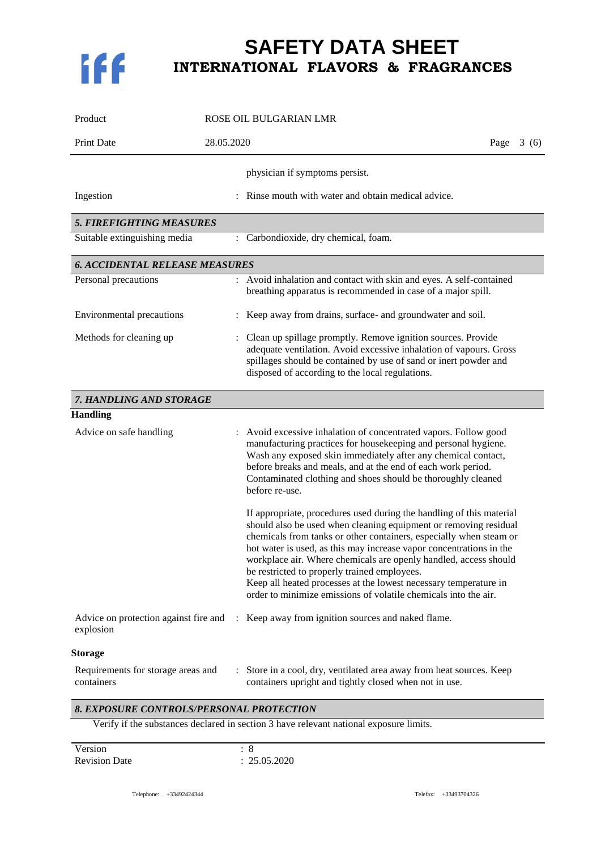

| Product                                          | ROSE OIL BULGARIAN LMR                                                                                                                                                                                                                                                                                                                                                                                                                                                                                                                           |
|--------------------------------------------------|--------------------------------------------------------------------------------------------------------------------------------------------------------------------------------------------------------------------------------------------------------------------------------------------------------------------------------------------------------------------------------------------------------------------------------------------------------------------------------------------------------------------------------------------------|
| <b>Print Date</b>                                | 28.05.2020<br>Page<br>3(6)                                                                                                                                                                                                                                                                                                                                                                                                                                                                                                                       |
| Ingestion                                        | physician if symptoms persist.<br>Rinse mouth with water and obtain medical advice.                                                                                                                                                                                                                                                                                                                                                                                                                                                              |
| <b>5. FIREFIGHTING MEASURES</b>                  |                                                                                                                                                                                                                                                                                                                                                                                                                                                                                                                                                  |
| Suitable extinguishing media                     | : Carbondioxide, dry chemical, foam.                                                                                                                                                                                                                                                                                                                                                                                                                                                                                                             |
| <b>6. ACCIDENTAL RELEASE MEASURES</b>            |                                                                                                                                                                                                                                                                                                                                                                                                                                                                                                                                                  |
| Personal precautions                             | : Avoid inhalation and contact with skin and eyes. A self-contained<br>breathing apparatus is recommended in case of a major spill.                                                                                                                                                                                                                                                                                                                                                                                                              |
| <b>Environmental precautions</b>                 | Keep away from drains, surface- and groundwater and soil.                                                                                                                                                                                                                                                                                                                                                                                                                                                                                        |
| Methods for cleaning up                          | Clean up spillage promptly. Remove ignition sources. Provide<br>adequate ventilation. Avoid excessive inhalation of vapours. Gross<br>spillages should be contained by use of sand or inert powder and<br>disposed of according to the local regulations.                                                                                                                                                                                                                                                                                        |
| 7. HANDLING AND STORAGE                          |                                                                                                                                                                                                                                                                                                                                                                                                                                                                                                                                                  |
| <b>Handling</b>                                  |                                                                                                                                                                                                                                                                                                                                                                                                                                                                                                                                                  |
| Advice on safe handling                          | : Avoid excessive inhalation of concentrated vapors. Follow good<br>manufacturing practices for housekeeping and personal hygiene.<br>Wash any exposed skin immediately after any chemical contact,<br>before breaks and meals, and at the end of each work period.<br>Contaminated clothing and shoes should be thoroughly cleaned<br>before re-use.                                                                                                                                                                                            |
|                                                  | If appropriate, procedures used during the handling of this material<br>should also be used when cleaning equipment or removing residual<br>chemicals from tanks or other containers, especially when steam or<br>hot water is used, as this may increase vapor concentrations in the<br>workplace air. Where chemicals are openly handled, access should<br>be restricted to properly trained employees.<br>Keep all heated processes at the lowest necessary temperature in<br>order to minimize emissions of volatile chemicals into the air. |
| explosion                                        | Advice on protection against fire and : Keep away from ignition sources and naked flame.                                                                                                                                                                                                                                                                                                                                                                                                                                                         |
| <b>Storage</b>                                   |                                                                                                                                                                                                                                                                                                                                                                                                                                                                                                                                                  |
| Requirements for storage areas and<br>containers | Store in a cool, dry, ventilated area away from heat sources. Keep<br>containers upright and tightly closed when not in use.                                                                                                                                                                                                                                                                                                                                                                                                                     |
| 8. EXPOSURE CONTROLS/PERSONAL PROTECTION         | Verify if the substances declared in section 3 have relevant national exposure limits.                                                                                                                                                                                                                                                                                                                                                                                                                                                           |

Version : 8<br>Revision Date : 25

 $: 25.05.2020$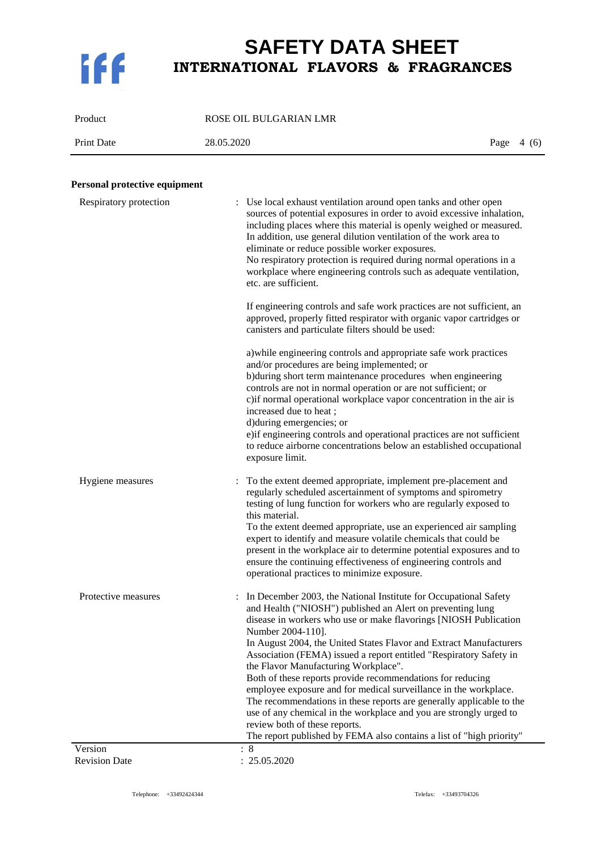

Product ROSE OIL BULGARIAN LMR

Print Date 28.05.2020 Page 4 (6)

### **Personal protective equipment**

| Respiratory protection          | : Use local exhaust ventilation around open tanks and other open<br>sources of potential exposures in order to avoid excessive inhalation,<br>including places where this material is openly weighed or measured.<br>In addition, use general dilution ventilation of the work area to<br>eliminate or reduce possible worker exposures.<br>No respiratory protection is required during normal operations in a<br>workplace where engineering controls such as adequate ventilation,<br>etc. are sufficient.<br>If engineering controls and safe work practices are not sufficient, an<br>approved, properly fitted respirator with organic vapor cartridges or<br>canisters and particulate filters should be used:<br>a) while engineering controls and appropriate safe work practices<br>and/or procedures are being implemented; or<br>b)during short term maintenance procedures when engineering<br>controls are not in normal operation or are not sufficient; or<br>c) if normal operational workplace vapor concentration in the air is<br>increased due to heat;<br>d)during emergencies; or<br>e) if engineering controls and operational practices are not sufficient<br>to reduce airborne concentrations below an established occupational<br>exposure limit. |
|---------------------------------|-------------------------------------------------------------------------------------------------------------------------------------------------------------------------------------------------------------------------------------------------------------------------------------------------------------------------------------------------------------------------------------------------------------------------------------------------------------------------------------------------------------------------------------------------------------------------------------------------------------------------------------------------------------------------------------------------------------------------------------------------------------------------------------------------------------------------------------------------------------------------------------------------------------------------------------------------------------------------------------------------------------------------------------------------------------------------------------------------------------------------------------------------------------------------------------------------------------------------------------------------------------------------------|
| Hygiene measures                | To the extent deemed appropriate, implement pre-placement and<br>regularly scheduled ascertainment of symptoms and spirometry<br>testing of lung function for workers who are regularly exposed to<br>this material.<br>To the extent deemed appropriate, use an experienced air sampling<br>expert to identify and measure volatile chemicals that could be<br>present in the workplace air to determine potential exposures and to<br>ensure the continuing effectiveness of engineering controls and<br>operational practices to minimize exposure.                                                                                                                                                                                                                                                                                                                                                                                                                                                                                                                                                                                                                                                                                                                        |
| Protective measures             | : In December 2003, the National Institute for Occupational Safety<br>and Health ("NIOSH") published an Alert on preventing lung<br>disease in workers who use or make flavorings [NIOSH Publication<br>Number 2004-110].<br>In August 2004, the United States Flavor and Extract Manufacturers<br>Association (FEMA) issued a report entitled "Respiratory Safety in<br>the Flavor Manufacturing Workplace".<br>Both of these reports provide recommendations for reducing<br>employee exposure and for medical surveillance in the workplace.<br>The recommendations in these reports are generally applicable to the<br>use of any chemical in the workplace and you are strongly urged to<br>review both of these reports.<br>The report published by FEMA also contains a list of "high priority"                                                                                                                                                                                                                                                                                                                                                                                                                                                                        |
| Version<br><b>Revision Date</b> | : 8<br>: 25.05.2020                                                                                                                                                                                                                                                                                                                                                                                                                                                                                                                                                                                                                                                                                                                                                                                                                                                                                                                                                                                                                                                                                                                                                                                                                                                           |
|                                 |                                                                                                                                                                                                                                                                                                                                                                                                                                                                                                                                                                                                                                                                                                                                                                                                                                                                                                                                                                                                                                                                                                                                                                                                                                                                               |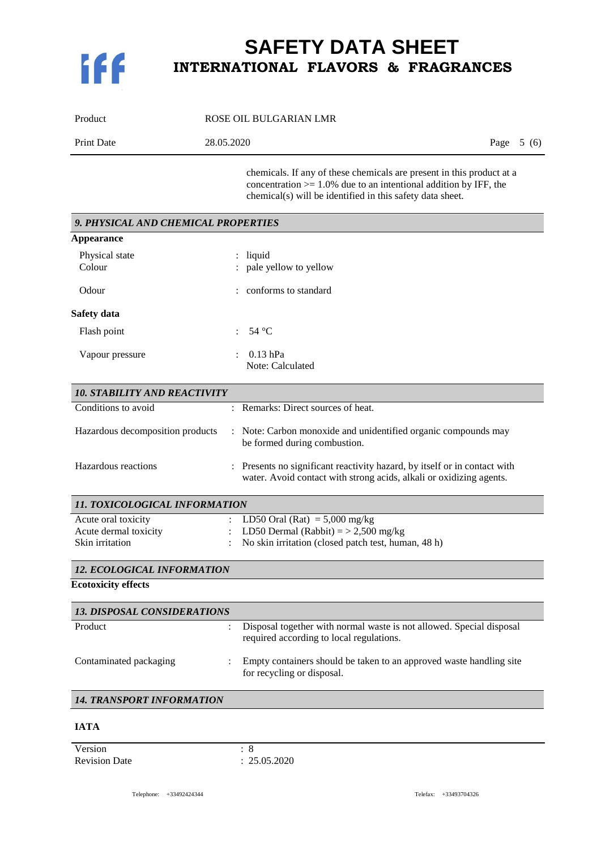

| Product           | ROSE OIL BULGARIAN LMR |             |
|-------------------|------------------------|-------------|
| <b>Print Date</b> | 28.05.2020             | Page $5(6)$ |
|                   |                        |             |

chemicals. If any of these chemicals are present in this product at a concentration  $> = 1.0\%$  due to an intentional addition by IFF, the chemical(s) will be identified in this safety data sheet.

| 9. PHYSICAL AND CHEMICAL PROPERTIES |                                                                                                                                                |  |
|-------------------------------------|------------------------------------------------------------------------------------------------------------------------------------------------|--|
| Appearance                          |                                                                                                                                                |  |
| Physical state<br>Colour            | liquid<br>pale yellow to yellow                                                                                                                |  |
| Odour                               | : conforms to standard                                                                                                                         |  |
| Safety data                         |                                                                                                                                                |  |
| Flash point                         | $54^{\circ}$ C                                                                                                                                 |  |
| Vapour pressure                     | $0.13$ hPa<br>Note: Calculated                                                                                                                 |  |
| <b>10. STABILITY AND REACTIVITY</b> |                                                                                                                                                |  |
| Conditions to avoid                 | : Remarks: Direct sources of heat.                                                                                                             |  |
| Hazardous decomposition products    | : Note: Carbon monoxide and unidentified organic compounds may<br>be formed during combustion.                                                 |  |
| Hazardous reactions                 | Presents no significant reactivity hazard, by itself or in contact with<br>water. Avoid contact with strong acids, alkali or oxidizing agents. |  |
| 11. TOXICOLOGICAL INFORMATION       |                                                                                                                                                |  |
| Acute oral toxicity                 | LD50 Oral (Rat) = $5,000$ mg/kg                                                                                                                |  |
| Acute dermal toxicity               | LD50 Dermal (Rabbit) $=$ > 2,500 mg/kg                                                                                                         |  |
| Skin irritation                     | No skin irritation (closed patch test, human, 48 h)                                                                                            |  |

### *12. ECOLOGICAL INFORMATION*

**Ecotoxicity effects**

| <b>13. DISPOSAL CONSIDERATIONS</b> |  |                                                                                                                  |  |
|------------------------------------|--|------------------------------------------------------------------------------------------------------------------|--|
| Product                            |  | Disposal together with normal waste is not allowed. Special disposal<br>required according to local regulations. |  |
| Contaminated packaging             |  | Empty containers should be taken to an approved waste handling site<br>for recycling or disposal.                |  |

: No skin irritation (closed patch test, human, 48 h)

### *14. TRANSPORT INFORMATION*

#### **IATA**

Version : 8<br>Revision Date : 2

 $: 25.05.2020$